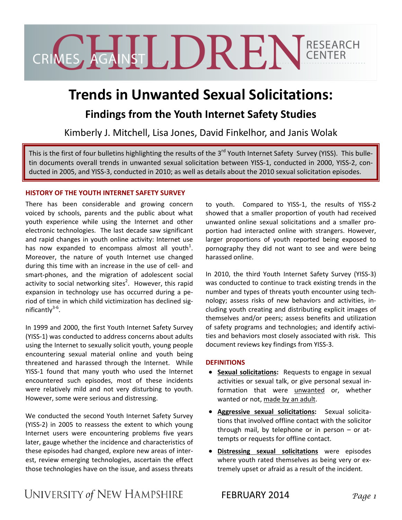CRIVES AGANS LDREN GENTER

# **Trends in Unwanted Sexual Solicitations:**

## **Findings from the Youth Internet Safety Studies**

Kimberly J. Mitchell, Lisa Jones, David Finkelhor, and Janis Wolak

This is the first of four bulletins highlighting the results of the 3<sup>rd</sup> Youth Internet Safety Survey (YISS). This bulletin documents overall trends in unwanted sexual solicitation between YISS-1, conducted in 2000, YISS-2, conducted in 2005, and YISS‐3, conducted in 2010; as well as details about the 2010 sexual solicitation episodes.

#### **HISTORY OF THE YOUTH INTERNET SAFETY SURVEY**

There has been considerable and growing concern voiced by schools, parents and the public about what youth experience while using the Internet and other electronic technologies. The last decade saw significant and rapid changes in youth online activity: Internet use has now expanded to encompass almost all youth<sup>1</sup>. Moreover, the nature of youth Internet use changed during this time with an increase in the use of cell‐ and smart-phones, and the migration of adolescent social activity to social networking sites<sup>2</sup>. However, this rapid expansion in technology use has occurred during a pe‐ riod of time in which child victimization has declined sig‐ nificantly<sup>3-6</sup>.

In 1999 and 2000, the first Youth Internet Safety Survey (YISS‐1) was conducted to address concerns about adults using the Internet to sexually solicit youth, young people encountering sexual material online and youth being threatened and harassed through the Internet. While YISS-1 found that many youth who used the Internet encountered such episodes, most of these incidents were relatively mild and not very disturbing to youth. However, some were serious and distressing.

We conducted the second Youth Internet Safety Survey (YISS‐2) in 2005 to reassess the extent to which young Internet users were encountering problems five years later, gauge whether the incidence and characteristics of these episodes had changed, explore new areas of inter‐ est, review emerging technologies, ascertain the effect those technologies have on the issue, and assess threats to youth. Compared to YISS-1, the results of YISS-2 showed that a smaller proportion of youth had received unwanted online sexual solicitations and a smaller pro‐ portion had interacted online with strangers. However, larger proportions of youth reported being exposed to pornography they did not want to see and were being harassed online.

In 2010, the third Youth Internet Safety Survey (YISS‐3) was conducted to continue to track existing trends in the number and types of threats youth encounter using tech‐ nology; assess risks of new behaviors and activities, in‐ cluding youth creating and distributing explicit images of themselves and/or peers; assess benefits and utilization of safety programs and technologies; and identify activi‐ ties and behaviors most closely associated with risk. This document reviews key findings from YISS‐3.

#### **DEFINITIONS**

- **Sexual solicitations:** Requests to engage in sexual activities or sexual talk, or give personal sexual in‐ formation that were unwanted or, whether wanted or not, made by an adult.
- **Aggressive sexual solicitations:**  Sexual solicita‐ tions that involved offline contact with the solicitor through mail, by telephone or in person  $-$  or attempts or requests for offline contact.
- **Distressing sexual solicitations** were episodes where youth rated themselves as being very or extremely upset or afraid as a result of the incident.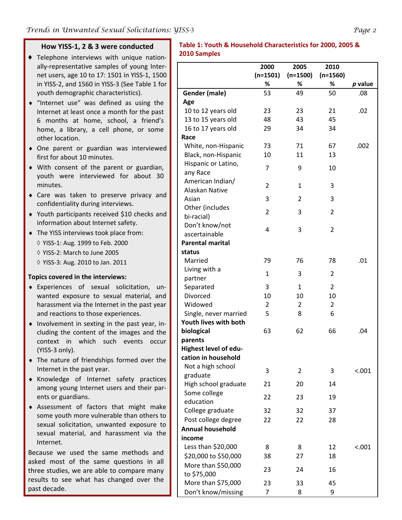#### **How YISS‐1, 2 & 3 were conducted** ♦ Telephone interviews with unique nation‐ ally‐representative samples of young Inter‐ **Table 1: Youth & Household Characteristics for 2000, 2005 & 2010 Samples**

|                         | 2000           | 2005           | 2010           |         |
|-------------------------|----------------|----------------|----------------|---------|
|                         | $(n=1501)$     | $(n=1500)$     | $(n=1560)$     |         |
|                         | %              | %              | %              | p value |
| Gender (male)           | 53             | 49             | 50             | .08     |
| Age                     |                |                |                |         |
| 10 to 12 years old      | 23             | 23             | 21             | .02     |
| 13 to 15 years old      | 48             | 43             | 45             |         |
| 16 to 17 years old      | 29             | 34             | 34             |         |
| Race                    |                |                |                |         |
| White, non-Hispanic     | 73             | 71             | 67             | .002    |
| Black, non-Hispanic     | 10             | 11             | 13             |         |
| Hispanic or Latino,     | $\overline{7}$ | 9              | 10             |         |
| any Race                |                |                |                |         |
| American Indian/        | $\overline{2}$ | $\mathbf{1}$   | 3              |         |
| Alaskan Native          |                |                |                |         |
| Asian                   | 3              | 2              | 3              |         |
| Other (includes         | $\overline{2}$ | 3              | $\overline{2}$ |         |
| bi-racial)              |                |                |                |         |
| Don't know/not          | 4              | 3              | 2              |         |
| ascertainable           |                |                |                |         |
| <b>Parental marital</b> |                |                |                |         |
| status                  |                |                |                |         |
| Married                 | 79             | 76             | 78             | .01     |
| Living with a           | $\mathbf{1}$   | 3              | 2              |         |
| partner                 |                |                |                |         |
| Separated               | 3              | $\mathbf{1}$   | $\overline{2}$ |         |
| Divorced                | 10             | 10             | 10             |         |
| Widowed                 | $\overline{2}$ | $\overline{2}$ | $\overline{2}$ |         |
| Single, never married   | 5              | 8              | 6              |         |
| Youth lives with both   |                |                |                |         |
| biological              | 63             | 62             | 66             | .04     |
| parents                 |                |                |                |         |
| Highest level of edu-   |                |                |                |         |
| cation in household     |                |                |                |         |
| Not a high school       | 3              | 2              | 3              | < .001  |
| graduate                |                |                |                |         |
| High school graduate    | 21             | 20             | 14             |         |
| Some college            | 22             | 23             | 19             |         |
| education               |                |                |                |         |
| College graduate        | 32             | 32             | 37             |         |
| Post college degree     | 22             | 22             | 28             |         |
| <b>Annual household</b> |                |                |                |         |
| income                  |                |                |                |         |
| Less than \$20,000      | 8              | 8              | 12             | < .001  |
| \$20,000 to \$50,000    | 38             | 27             | 18             |         |
| More than \$50,000      | 23             | 24             | 16             |         |
| to \$75,000             |                |                |                |         |
| More than \$75,000      | 23             | 33             | 45             |         |
| Don't know/missing      | 7              | 8              | 9              |         |

|           | $ \mathfrak{v}_i$ |
|-----------|-------------------|
| ), 2005 & |                   |
|           |                   |

youth demographic characteristics). ♦ "Internet use" was defined as using the Internet at least once a month for the past 6 months at home, school, a friend's home, a library, a cell phone, or some other location.

net users, age 10 to 17: 1501 in YISS‐1, 1500 in YISS‐2, and 1560 in YISS‐3 (See Table 1 for

- ♦ One parent or guardian was interviewed first for about 10 minutes.
- ♦ With consent of the parent or guardian, youth were interviewed for about 30 minutes.
- ♦ Care was taken to preserve privacy and confidentiality during interviews.
- ♦ Youth participants received \$10 checks and information about Internet safety.
- ♦ The YISS interviews took place from:
	- ◊ YISS‐1: Aug. 1999 to Feb. 2000
	- ◊ YISS‐2: March to June 2005
	- ◊ YISS‐3: Aug. 2010 to Jan. 2011

## **Topics covered in the interviews:**

- ♦ Experiences of sexual solicitation, un‐ wanted exposure to sexual material, and harassment via the Internet in the past year and reactions to those experiences.
- ◆ Involvement in sexting in the past year, including the content of the images and the context in which such events occur (YISS‐3 only).
- ♦ The nature of friendships formed over the Internet in the past year.
- ♦ Knowledge of Internet safety practices among young Internet users and their par‐ ents or guardians.
- ♦ Assessment of factors that might make some youth more vulnerable than others to sexual solicitation, unwanted exposure to sexual material, and harassment via the Internet.

Because we used the same methods and asked most of the same questions in all three studies, we are able to compare many results to see what has changed over the past decade.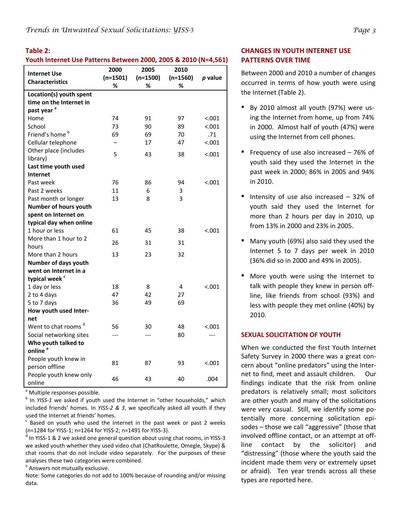#### **Table 2:**

#### **Youth Internet Use Patterns Between 2000, 2005 & 2010 (N=4,561)**

|                                 | 2000       | 2005       | 2010       |         |
|---------------------------------|------------|------------|------------|---------|
| <b>Internet Use</b>             | $(n=1501)$ | $(n=1500)$ | $(n=1560)$ | p value |
| <b>Characteristics</b>          | %          | %          | ℅          |         |
| Location(s) youth spent         |            |            |            |         |
| time on the Internet in         |            |            |            |         |
| past year <sup>a</sup>          |            |            |            |         |
| Home                            | 74         | 91         | 97         | < .001  |
| School                          | 73         | 90         | 89         | < .001  |
| Friend's home <sup>b</sup>      | 69         | 69         | 70         | .71     |
| Cellular telephone              | —          | 17         | 47         | < .001  |
| Other place (includes           | 5          | 43         | 38         | < .001  |
| library)                        |            |            |            |         |
| Last time youth used            |            |            |            |         |
| <b>Internet</b>                 |            |            |            |         |
| Past week                       | 76         | 86         | 94         | < .001  |
| Past 2 weeks                    | 11         | 6          | 3          |         |
| Past month or longer            | 13         | 8          | 3          |         |
| Number of hours youth           |            |            |            |         |
| spent on Internet on            |            |            |            |         |
| typical day when online         |            |            |            |         |
| 1 hour or less                  | 61         | 45         | 38         | < .001  |
| More than 1 hour to 2           | 26         | 31         | 31         |         |
| hours                           |            |            |            |         |
| More than 2 hours               | 13         | 23         | 32         |         |
| <b>Number of days youth</b>     |            |            |            |         |
| went on Internet in a           |            |            |            |         |
| typical week <sup>c</sup>       |            |            |            |         |
| 1 day or less                   | 18         | 8          | 4          | < .001  |
| 2 to 4 days                     | 47         | 42         | 27         |         |
| 5 to 7 days                     | 36         | 49         | 69         |         |
| How youth used Inter-           |            |            |            |         |
| net                             |            |            |            |         |
| Went to chat rooms <sup>d</sup> | 56         | 30         | 48         | < 0.001 |
| Social networking sites         | $---$      | $---$      | 80         | $---$   |
| Who youth talked to             |            |            |            |         |
| online <sup>e</sup>             |            |            |            |         |
| People youth knew in            | 81         | 87         | 93         | < .001  |
| person offline                  |            |            |            |         |
| People youth knew only          | 46         | 43         | 40         | .004    |
| online                          |            |            |            |         |

<sup>a</sup> Multiple responses possible.

<sup>b</sup> In *YISS‐1* we asked if youth used the Internet in "other households," which included friends' homes. In *YISS‐2 & 3*, we specifically asked all youth if they used the Internet at friends' homes.

 $c$  Based on youth who used the Internet in the past week or past 2 weeks (n=1284 for YISS‐1; n=1264 for YISS‐2; n=1491 for YISS‐3).

<sup>d</sup> In YISS-1 & 2 we asked one general question about using chat rooms, in YISS-3 we asked youth whether they used video chat (ChatRoulette, Omegle, Skype) & chat rooms that do not include video separately. For the purposes of these analyses these two categories were combined.

<sup>e</sup> Answers not mutually exclusive.

Note: Some categories do not add to 100% because of rounding and/or missing data.

#### **CHANGES IN YOUTH INTERNET USE PATTERNS OVER TIME**

Between 2000 and 2010 a number of changes occurred in terms of how youth were using the Internet (Table 2).

- By 2010 almost all youth (97%) were using the Internet from home, up from 74% in 2000. Almost half of youth (47%) were using the Internet from cell phones.
- **•** Frequency of use also increased  $-76\%$  of youth said they used the Internet in the past week in 2000; 86% in 2005 and 94% in 2010.
- Intensity of use also increased  $-32%$  of youth said they used the Internet for more than 2 hours per day in 2010, up from 13% in 2000 and 23% in 2005.
- Many youth (69%) also said they used the Internet 5 to 7 days per week in 2010 (36% did so in 2000 and 49% in 2005).
- More youth were using the Internet to talk with people they knew in person off‐ line, like friends from school (93%) and less with people they met online (40%) by 2010.

#### **SEXUAL SOLICITATION OF YOUTH**

When we conducted the first Youth Internet Safety Survey in 2000 there was a great con‐ cern about "online predators" using the Inter‐ net to find, meet and assault children. Our findings indicate that the risk from online predators is relatively small; most solicitors are other youth and many of the solicitations were very casual. Still, we identify some po‐ tentially more concerning solicitation epi‐ sodes – those we call "aggressive" (those that involved offline contact, or an attempt at off‐ line contact by the solicitor) and "distressing" (those where the youth said the incident made them very or extremely upset or afraid). Ten year trends across all these types are reported here.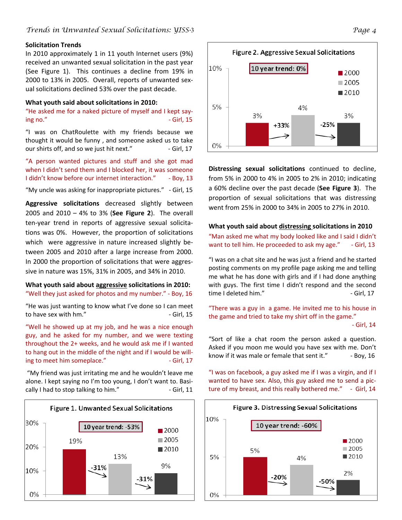#### **Solicitation Trends**

In 2010 approximately 1 in 11 youth Internet users (9%) received an unwanted sexual solicitation in the past year (See Figure 1). This continues a decline from 19% in 2000 to 13% in 2005. Overall, reports of unwanted sex‐ ual solicitations declined 53% over the past decade.

#### **What youth said about solicitations in 2010:**

"He asked me for a naked picture of myself and I kept say‐  $\log$  no."  $\qquad \qquad$   $\qquad \qquad$   $\qquad \qquad$   $\qquad \qquad$   $\qquad \qquad$   $\qquad \qquad$   $\qquad \qquad$   $\qquad \qquad$   $\qquad \qquad$   $\qquad \qquad$   $\qquad \qquad$   $\qquad \qquad$   $\qquad \qquad$   $\qquad \qquad$   $\qquad \qquad$   $\qquad \qquad$   $\qquad \qquad$   $\qquad \qquad$   $\qquad \qquad$   $\qquad \qquad$   $\qquad \qquad$   $\qquad \qquad$   $\qquad \qquad$   $\qquad$ 

"I was on ChatRoulette with my friends because we thought it would be funny , and someone asked us to take our shirts off, and so we just hit next." 
I Girl, 17

"A person wanted pictures and stuff and she got mad when I didn't send them and I blocked her, it was someone I didn't know before our internet interaction." ‐ Boy, 13

"My uncle was asking for inappropriate pictures." ‐ Girl, 15

**Aggressive solicitations** decreased slightly between 2005 and 2010 – 4% to 3% (**See Figure 2**). The overall ten‐year trend in reports of aggressive sexual solicita‐ tions was 0%. However, the proportion of solicitations which were aggressive in nature increased slightly between 2005 and 2010 after a large increase from 2000. In 2000 the proportion of solicitations that were aggres‐ sive in nature was 15%, 31% in 2005, and 34% in 2010.

#### **What youth said about aggressive solicitations in 2010:** "Well they just asked for photos and my number." ‐ Boy, 16

"He was just wanting to know what I've done so I can meet to have sex with hm." ‐ Girl, 15

"Well he showed up at my job, and he was a nice enough guy, and he asked for my number, and we were texting throughout the 2+ weeks, and he would ask me if I wanted to hang out in the middle of the night and if I would be will‐ ing to meet him someplace." ‐ Girl, 17

"My friend was just irritating me and he wouldn't leave me alone. I kept saying no I'm too young, I don't want to. Basi‐ cally I had to stop talking to him." ‐ Girl, 11





**Distressing sexual solicitations** continued to decline, from 5% in 2000 to 4% in 2005 to 2% in 2010; indicating a 60% decline over the past decade (**See Figure 3**). The proportion of sexual solicitations that was distressing went from 25% in 2000 to 34% in 2005 to 27% in 2010.

#### **What youth said about distressing solicitations in 2010**

"Man asked me what my body looked like and I said I didn't want to tell him. He proceeded to ask my age." - Girl, 13

"I was on a chat site and he was just a friend and he started posting comments on my profile page asking me and telling me what he has done with girls and if I had done anything with guys. The first time I didn't respond and the second time I deleted him." ‐ Girl, 17

"There was a guy in a game. He invited me to his house in the game and tried to take my shirt off in the game."

‐ Girl, 14

"Sort of like a chat room the person asked a question. Asked if you moon me would you have sex with me. Don't know if it was male or female that sent it." ‐ Boy, 16

"I was on facebook, a guy asked me if I was a virgin, and if I wanted to have sex. Also, this guy asked me to send a pic‐ ture of my breast, and this really bothered me." - Girl, 14

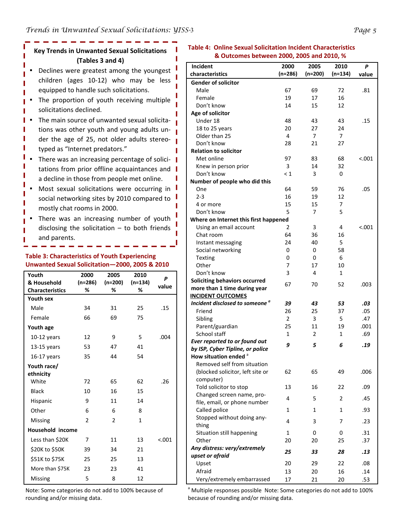## **Key Trends in Unwanted Sexual Solicitations (Tables 3 and 4)**

- Declines were greatest among the youngest children (ages 10‐12) who may be less equipped to handle such solicitations.
- The proportion of youth receiving multiple solicitations declined.
- The main source of unwanted sexual solicitations was other youth and young adults under the age of 25, not older adults stereotyped as "Internet predators."
- There was an increasing percentage of solici- $\parallel$ tations from prior offline acquaintances and a decline in those from people met online.
- Most sexual solicitations were occurring in social networking sites by 2010 compared to mostly chat rooms in 2000.
- There was an increasing number of youth disclosing the solicitation  $-$  to both friends and parents.

## **Table 3: Characteristics of Youth Experiencing Unwanted Sexual Solicitation—2000, 2005 & 2010**

| Youth                  | 2000           | 2005           | 2010      | P       |
|------------------------|----------------|----------------|-----------|---------|
| & Household            | $(n=286)$      | $(n=200)$      | $(n=134)$ | value   |
| <b>Characteristics</b> | %              | %              | %         |         |
| <b>Youth sex</b>       |                |                |           |         |
| Male                   | 34             | 31             | 25        | .15     |
| Female                 | 66             | 69             | 75        |         |
| Youth age              |                |                |           |         |
| $10-12$ years          | 12             | 9              | 5         | .004    |
| $13-15$ years          | 53             | 47             | 41        |         |
| $16-17$ years          | 35             | 44             | 54        |         |
| Youth race/            |                |                |           |         |
| ethnicity              |                |                |           |         |
| White                  | 72             | 65             | 62        | .26     |
| <b>Black</b>           | 10             | 16             | 15        |         |
| Hispanic               | 9              | 11             | 14        |         |
| Other                  | 6              | 6              | 8         |         |
| Missing                | $\mathfrak{p}$ | $\mathfrak{p}$ | 1         |         |
| Household income       |                |                |           |         |
| Less than \$20K        | 7              | 11             | 13        | < 0.001 |
| \$20K to \$50K         | 39             | 34             | 21        |         |
| \$51K to \$75K         | 25             | 25             | 13        |         |
| More than \$75K        | 23             | 23             | 41        |         |
| <b>Missing</b>         | 5              | 8              | 12        |         |

#### **Table 4: Online Sexual Solicitation Incident Characteristics & Outcomes between 2000, 2005 and 2010, %**

| Incident                                                               | 2000           | 2005      | 2010    | P       |
|------------------------------------------------------------------------|----------------|-----------|---------|---------|
| characteristics                                                        | $(n=286)$      | $(n=200)$ | (n=134) | value   |
| <b>Gender of solicitor</b>                                             |                |           |         |         |
| Male                                                                   | 67             | 69        | 72      | .81     |
| Female                                                                 | 19             | 17        | 16      |         |
| Don't know                                                             | 14             | 15        | 12      |         |
| Age of solicitor                                                       |                |           |         |         |
| Under 18                                                               | 48             | 43        | 43      | .15     |
| 18 to 25 years                                                         | 20             | 27        | 24      |         |
| Older than 25                                                          | 4              | 7         | 7       |         |
| Don't know                                                             | 28             | 21        | 27      |         |
| <b>Relation to solicitor</b>                                           |                |           |         |         |
| Met online                                                             | 97             | 83        | 68      | < 0.001 |
| Knew in person prior                                                   | 3              | 14        | 32      |         |
| Don't know                                                             | $\leq 1$       | 3         | 0       |         |
| Number of people who did this                                          |                |           |         |         |
| One                                                                    | 64             | 59        | 76      | .05     |
| $2 - 3$                                                                | 16             | 19        | 12      |         |
| 4 or more                                                              | 15             | 15        | 7       |         |
| Don't know                                                             | 5              | 7         | 5       |         |
| Where on Internet this first happened                                  |                |           |         |         |
| Using an email account                                                 | $\overline{2}$ | 3         | 4       | < .001  |
| Chat room                                                              | 64             | 36        | 16      |         |
| Instant messaging                                                      | 24             | 40        | 5       |         |
| Social networking                                                      | 0              | 0         | 58      |         |
| <b>Texting</b>                                                         | 0              | 0         | 6       |         |
| Other                                                                  | 7              | 17        | 10      |         |
| Don't know                                                             | 3              | 4         | 1       |         |
|                                                                        |                |           |         |         |
| <b>Soliciting behaviors occurred</b>                                   | 67             | 70        | 52      | .003    |
| more than 1 time during year                                           |                |           |         |         |
| <b>INCIDENT OUTCOMES</b><br>Incident disclosed to someone <sup>a</sup> |                |           |         |         |
|                                                                        | 39             | 43        | 53      | .03     |
| Friend                                                                 | 26             | 25        | 37      | .05     |
| Sibling                                                                | $\overline{2}$ | 3         | 5       | .47     |
| Parent/guardian                                                        | 25             | 11        | 19      | .001    |
| School staff                                                           | $\mathbf{1}$   | 2         | 1       | .69     |
| Ever reported to or found out                                          | 9              | 5         | 6       | .19     |
| by ISP, Cyber Tipline, or police                                       |                |           |         |         |
| How situation ended                                                    |                |           |         |         |
| Removed self from situation                                            |                |           |         |         |
| (blocked solicitor, left site or                                       | 62             | 65        | 49      | .006    |
| computer)                                                              |                |           |         |         |
| Told solicitor to stop                                                 | 13             | 16        | 22      | .09     |
| Changed screen name, pro-                                              | 4              | 5         | 2       | .45     |
| file, email, or phone number                                           |                |           |         |         |
| Called police                                                          | 1              | 1         | 1       | .93     |
| Stopped without doing any-                                             | 4              | 3         | 7       | .23     |
| thing                                                                  |                |           |         |         |
| Situation still happening                                              | 1              | 0         | 0       | .31     |
| Other                                                                  | 20             | 20        | 25      | .37     |
| Any distress: very/extremely                                           | 25             | 33        | 28      | .13     |
| upset or afraid                                                        |                |           |         |         |
| Upset                                                                  | 20             | 29        | 22      | .08     |
| Afraid                                                                 | 13             | 20        | 16      | .14     |
| Very/extremely embarrassed                                             | 17             | 21        | 20      | .53     |

Note: Some categories do not add to 100% because of rounding and/or missing data.

<sup>a</sup> Multiple responses possible Note: Some categories do not add to 100% because of rounding and/or missing data.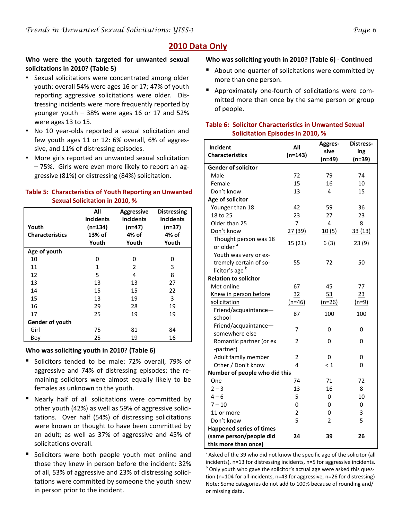## **2010 Data Only**

## **Who were the youth targeted for unwanted sexual solicitations in 2010? (Table 5)**

- Sexual solicitations were concentrated among older youth: overall 54% were ages 16 or 17; 47% of youth reporting aggressive solicitations were older. Distressing incidents were more frequently reported by younger youth – 38% were ages 16 or 17 and 52% were ages 13 to 15.
- No 10 year-olds reported a sexual solicitation and few youth ages 11 or 12: 6% overall, 6% of aggres‐ sive, and 11% of distressing episodes.
- More girls reported an unwanted sexual solicitation – 75%. Girls were even more likely to report an ag‐ gressive (81%) or distressing (84%) solicitation.

## **Table 5: Characteristics of Youth Reporting an Unwanted Sexual Solicitation in 2010, %**

| Youth                  | All<br><b>Incidents</b><br>$(n=134)$ | <b>Aggressive</b><br><b>Incidents</b><br>$(n=47)$ | <b>Distressing</b><br><b>Incidents</b><br>$(n=37)$ |
|------------------------|--------------------------------------|---------------------------------------------------|----------------------------------------------------|
| <b>Characteristics</b> | 13% of<br>Youth                      | 4% of<br>Youth                                    | 4% of<br>Youth                                     |
|                        |                                      |                                                   |                                                    |
| Age of youth           |                                      |                                                   |                                                    |
| 10                     | 0                                    | 0                                                 | U                                                  |
| 11                     | $\mathbf{1}$                         | 2                                                 | 3                                                  |
| 12                     | 5                                    | 4                                                 | 8                                                  |
| 13                     | 13                                   | 13                                                | 27                                                 |
| 14                     | 15                                   | 15                                                | 22                                                 |
| 15                     | 13                                   | 19                                                | 3                                                  |
| 16                     | 29                                   | 28                                                | 19                                                 |
| 17                     | 25                                   | 19                                                | 19                                                 |
| Gender of youth        |                                      |                                                   |                                                    |
| Girl                   | 75                                   | 81                                                | 84                                                 |
| Boy                    | 25                                   | 19                                                | 16                                                 |

## **Who was soliciting youth in 2010? (Table 6)**

- Solicitors tended to be male: 72% overall, 79% of aggressive and 74% of distressing episodes; the re‐ maining solicitors were almost equally likely to be females as unknown to the youth.
- Nearly half of all solicitations were committed by other youth (42%) as well as 59% of aggressive solici‐ tations. Over half (54%) of distressing solicitations were known or thought to have been committed by an adult; as well as 37% of aggressive and 45% of solicitations overall.
- Solicitors were both people youth met online and those they knew in person before the incident: 32% of all, 53% of aggressive and 23% of distressing solici‐ tations were committed by someone the youth knew in person prior to the incident.

## **Who was soliciting youth in 2010? (Table 6) ‐ Continued**

- About one-quarter of solicitations were committed by more than one person.
- Approximately one-fourth of solicitations were committed more than once by the same person or group of people.

#### **Table 6: Solicitor Characteristics in Unwanted Sexual Solicitation Episodes in 2010, %**

| Incident                                       | All            | Aggres-        | Distress- |
|------------------------------------------------|----------------|----------------|-----------|
| <b>Characteristics</b>                         | $(n=143)$      | sive           | ing       |
|                                                |                | $(n=49)$       | $(n=39)$  |
| <b>Gender of solicitor</b>                     |                |                |           |
| Male                                           | 72             | 79             | 74        |
| Female                                         | 15             | 16             | 10        |
| Don't know                                     | 13             | 4              | 15        |
| Age of solicitor                               |                |                |           |
| Younger than 18                                | 42             | 59             | 36        |
| 18 to 25                                       | 23             | 27             | 23        |
| Older than 25                                  | 7              | 4              | 8         |
| Don't know                                     | 27(39)         | 10(5)          | 33(13)    |
| Thought person was 18<br>or older <sup>a</sup> | 15(21)         | 6(3)           | 23(9)     |
| Youth was very or ex-                          |                |                |           |
| tremely certain of so-                         | 55             | 72             | 50        |
| licitor's age <sup>b</sup>                     |                |                |           |
| <b>Relation to solicitor</b>                   |                |                |           |
| Met online                                     | 67             | 45             | 77        |
| Knew in person before                          | 32             | 53             | 23        |
| solicitation                                   | $(n=46)$       | $(n=26)$       | $(n=9)$   |
| Friend/acquaintance-                           | 87             | 100            | 100       |
| school                                         |                |                |           |
| Friend/acquaintance-                           | 7              | 0              | 0         |
| somewhere else                                 |                |                |           |
| Romantic partner (or ex                        | $\mathfrak{p}$ | $\Omega$       | 0         |
| -partner)                                      |                |                |           |
| Adult family member                            | $\mathfrak{p}$ | 0              | 0         |
| Other / Don't know                             | 4              | $\leq 1$       | 0         |
| Number of people who did this                  |                |                |           |
| One                                            | 74             | 71             | 72        |
| $2 - 3$                                        | 13             | 16             | 8         |
| $4 - 6$                                        | 5              | 0              | 10        |
| $7 - 10$                                       | 0              | 0              | 0         |
| 11 or more                                     | $\overline{2}$ | 0              | 3         |
| Don't know                                     | 5              | $\overline{2}$ | 5         |
| <b>Happened series of times</b>                |                |                |           |
| (same person/people did                        | 24             | 39             | 26        |
| this more than once)                           |                |                |           |

<sup>a</sup> Asked of the 39 who did not know the specific age of the solicitor (all incidents), n=13 for distressing incidents, n=5 for aggressive incidents. <sup>b</sup> Only youth who gave the solicitor's actual age were asked this question (n=104 for all incidents, n=43 for aggressive, n=26 for distressing) Note: Some categories do not add to 100% because of rounding and/ or missing data.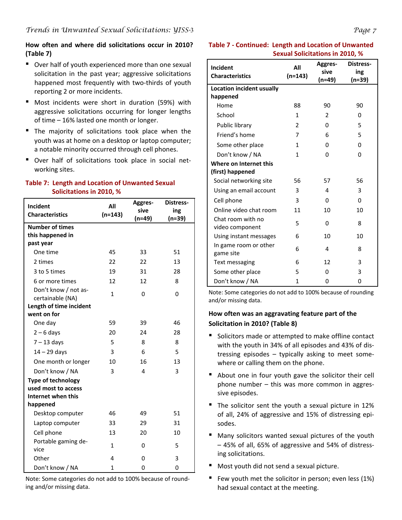## **How often and where did solicitations occur in 2010? (Table 7)**

- Over half of youth experienced more than one sexual solicitation in the past year; aggressive solicitations happened most frequently with two-thirds of youth reporting 2 or more incidents.
- Most incidents were short in duration (59%) with aggressive solicitations occurring for longer lengths of time – 16% lasted one month or longer.
- The majority of solicitations took place when the youth was at home on a desktop or laptop computer; a notable minority occurred through cell phones.
- Over half of solicitations took place in social networking sites.

## **Table 7: Length and Location of Unwanted Sexual Solicitations in 2010, %**

| Incident                                 | All          | Aggres-  | <b>Distress-</b> |
|------------------------------------------|--------------|----------|------------------|
| <b>Characteristics</b>                   | $(n=143)$    | sive     | ing              |
| <b>Number of times</b>                   |              | $(n=49)$ | $(n=39)$         |
| this happened in                         |              |          |                  |
| past year                                |              |          |                  |
| One time                                 | 45           | 33       | 51               |
| 2 times                                  | 22           | 22       | 13               |
| 3 to 5 times                             | 19           | 31       | 28               |
| 6 or more times                          | 12           | 12       | 8                |
| Don't know / not as-<br>certainable (NA) | $\mathbf{1}$ | 0        | 0                |
| Length of time incident                  |              |          |                  |
| went on for                              |              |          |                  |
| One day                                  | 59           | 39       | 46               |
| $2 - 6$ days                             | 20           | 24       | 28               |
| $7 - 13$ days                            | 5            | 8        | 8                |
| $14 - 29$ days                           | 3            | 6        | 5                |
| One month or longer                      | 10           | 16       | 13               |
| Don't know / NA                          | 3            | 4        | 3                |
| <b>Type of technology</b>                |              |          |                  |
| used most to access                      |              |          |                  |
| Internet when this                       |              |          |                  |
| happened                                 |              |          |                  |
| Desktop computer                         | 46           | 49       | 51               |
| Laptop computer                          | 33           | 29       | 31               |
| Cell phone                               | 13           | 20       | 10               |
| Portable gaming de-<br>vice              | $\mathbf{1}$ | 0        | 5                |
| Other                                    | 4            | 0        | 3                |
| Don't know / NA                          | 1            | 0        | 0                |

Note: Some categories do not add to 100% because of round‐ ing and/or missing data.

## **Table 7 ‐ Continued: Length and Location of Unwanted Sexual Solicitations in 2010, %**

| Incident                             | All          | <b>Aggres-</b> | <b>Distress-</b> |
|--------------------------------------|--------------|----------------|------------------|
| <b>Characteristics</b>               | $(n=143)$    | sive<br>(n=49) | ing<br>(n=39)    |
| Location incident usually            |              |                |                  |
| happened                             |              |                |                  |
| Home                                 | 88           | 90             | 90               |
| School                               | 1            | 2              | 0                |
| Public library                       | 2            | 0              | 5                |
| Friend's home                        | 7            | 6              | 5                |
| Some other place                     | $\mathbf{1}$ | 0              | 0                |
| Don't know / NA                      | 1            | 0              | 0                |
| Where on Internet this               |              |                |                  |
| (first) happened                     |              |                |                  |
| Social networking site               | 56           | 57             | 56               |
| Using an email account               | 3            | 4              | 3                |
| Cell phone                           | 3            | 0              | 0                |
| Online video chat room               | 11           | 10             | 10               |
| Chat room with no<br>video component | 5            | 0              | 8                |
| Using instant messages               | 6            | 10             | 10               |
| In game room or other<br>game site   | 6            | 4              | 8                |
| Text messaging                       | 6            | 12             | 3                |
| Some other place                     | 5            | 0              | 3                |
| Don't know / NA                      | $\mathbf{1}$ | 0              | 0                |

Note: Some categories do not add to 100% because of rounding and/or missing data.

## **How often was an aggravating feature part of the Solicitation in 2010? (Table 8)**

- Solicitors made or attempted to make offline contact with the youth in 34% of all episodes and 43% of dis‐ tressing episodes – typically asking to meet some‐ where or calling them on the phone.
- About one in four youth gave the solicitor their cell phone number – this was more common in aggres‐ sive episodes.
- The solicitor sent the youth a sexual picture in 12% of all, 24% of aggressive and 15% of distressing epi‐ sodes.
- Many solicitors wanted sexual pictures of the youth – 45% of all, 65% of aggressive and 54% of distress‐ ing solicitations.
- Most youth did not send a sexual picture.
- Few youth met the solicitor in person; even less (1%) had sexual contact at the meeting.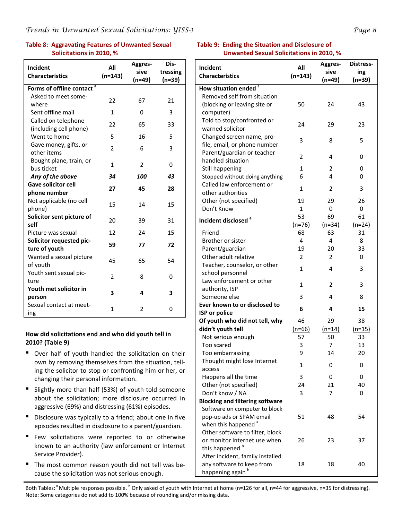## **Table 8: Aggravating Features of Unwanted Sexual Solicitations in 2010, %**

| Incident                              | All            | Aggres-  | Dis-     |
|---------------------------------------|----------------|----------|----------|
| <b>Characteristics</b>                | $(n=143)$      | sive     | tressing |
| Forms of offline contact <sup>a</sup> |                | $(n=49)$ | $(n=39)$ |
| Asked to meet some-                   |                |          |          |
| where                                 | 22             | 67       | 21       |
| Sent offline mail                     | $\mathbf{1}$   | 0        | 3        |
| Called on telephone                   | 22             | 65       | 33       |
| (including cell phone)                |                |          |          |
| Went to home                          | 5              | 16       | 5        |
| Gave money, gifts, or<br>other items  | $\overline{2}$ | 6        | 3        |
| Bought plane, train, or               | $\mathbf{1}$   | 2        | 0        |
| bus ticket                            |                |          |          |
| Any of the above                      | 34             | 100      | 43       |
| <b>Gave solicitor cell</b>            | 27             | 45       | 28       |
| phone number                          |                |          |          |
| Not applicable (no cell<br>phone)     | 15             | 14       | 15       |
| Solicitor sent picture of             | 20             | 39       | 31       |
| self<br>Picture was sexual            | 12             | 24       | 15       |
| Solicitor requested pic-              |                |          |          |
| ture of youth                         | 59             | 77       | 72       |
| Wanted a sexual picture               | 45             | 65       | 54       |
| of youth                              |                |          |          |
| Youth sent sexual pic-                | $\overline{2}$ | 8        | 0        |
| ture                                  |                |          |          |
| Youth met solicitor in<br>person      | 3              | 4        | 3        |
| Sexual contact at meet-<br>ing        | $\mathbf{1}$   | 2        | 0        |

#### **How did solicitations end and who did youth tell in 2010? (Table 9)**

- Over half of youth handled the solicitation on their own by removing themselves from the situation, tell‐ ing the solicitor to stop or confronting him or her, or changing their personal information.
- Slightly more than half (53%) of youth told someone about the solicitation; more disclosure occurred in aggressive (69%) and distressing (61%) episodes.
- Disclosure was typically to a friend; about one in five episodes resulted in disclosure to a parent/guardian.
- Few solicitations were reported to or otherwise known to an authority (law enforcement or Internet Service Provider).
- The most common reason youth did not tell was because the solicitation was not serious enough.

#### **Table 9: Ending the Situation and Disclosure of Unwanted Sexual Solicitations in 2010, %**

|                                        |                | Aggres-  | Distress-      |
|----------------------------------------|----------------|----------|----------------|
| Incident                               | All            | sive     | ing            |
| <b>Characteristics</b>                 | $(n=143)$      | (n=49)   | (n=39)         |
| How situation ended <sup>a</sup>       |                |          |                |
| Removed self from situation            |                |          |                |
| (blocking or leaving site or           | 50             | 24       | 43             |
| computer)                              |                |          |                |
| Told to stop/confronted or             |                |          |                |
| warned solicitor                       | 24             | 29       | 23             |
| Changed screen name, pro-              |                |          |                |
| file, email, or phone number           | 3              | 8        | 5              |
| Parent/guardian or teacher             |                |          |                |
| handled situation                      | 2              | 4        | 0              |
| Still happening                        | 1              | 2        | 0              |
| Stopped without doing anything         | 6              | 4        | 0              |
| Called law enforcement or              | 1              |          | 3              |
| other authorities                      |                | 2        |                |
| Other (not specified)                  | 19             | 29       | 26             |
| Don't Know                             | $\mathbf{1}$   | 0        | 0              |
| Incident disclosed <sup>a</sup>        | 53             | 69       | 61             |
|                                        | $(n=76)$       | $(n=34)$ | $(n=24)$       |
| Friend                                 | 68             | 63       | 31             |
| Brother or sister                      | 4              | 4        | 8              |
| Parent/guardian                        | 19             | 20       | 33             |
| Other adult relative                   | $\overline{2}$ | 2        | 0              |
| Teacher, counselor, or other           | 1              | 4        | 3              |
| school personnel                       |                |          |                |
| Law enforcement or other               | 1              | 2        | 3              |
| authority, ISP                         |                |          |                |
| Someone else                           | 3              | 4        | 8              |
| Ever known to or disclosed to          | 6              | 4        | 15             |
| <b>ISP</b> or police                   |                |          |                |
| Of youth who did not tell, why         | 46             | 29       | $\frac{38}{5}$ |
| didn't youth tell                      | $(n=66)$       | $(n=14)$ | $(n=15)$       |
| Not serious enough                     | 57             | 50       | 33             |
| Too scared                             | 3              | 7        | 13             |
| Too embarrassing                       | 9              | 14       | 20             |
| Thought might lose Internet            | 1              | 0        | 0              |
| access                                 |                |          |                |
| Happens all the time                   | 3              | 0        | 0              |
| Other (not specified)                  | 24             | 21       | 40             |
| Don't know / NA                        | 3              | 7        | 0              |
| <b>Blocking and filtering software</b> |                |          |                |
| Software on computer to block          |                |          |                |
| pop-up ads or SPAM email               | 51             | 48       | 54             |
| when this happened <sup>a</sup>        |                |          |                |
| Other software to filter, block        |                |          |                |
| or monitor Internet use when           | 26             | 23       | 37             |
| this happened <sup>b</sup>             |                |          |                |
| After incident, family installed       |                |          |                |
| any software to keep from              | 18             | 18       | 40             |
| happening again <sup>b</sup>           |                |          |                |

Both Tables: <sup>a</sup> Multiple responses possible. <sup>b</sup> Only asked of youth with Internet at home (n=126 for all, n=44 for aggressive, n=35 for distressing). Note: Some categories do not add to 100% because of rounding and/or missing data.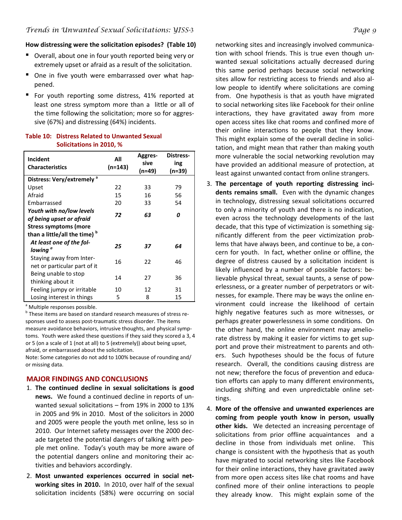#### **How distressing were the solicitation episodes? (Table 10)**

- Overall, about one in four youth reported being very or extremely upset or afraid as a result of the solicitation.
- One in five youth were embarrassed over what happened.
- For youth reporting some distress, 41% reported at least one stress symptom more than a little or all of the time following the solicitation; more so for aggres‐ sive (67%) and distressing (64%) incidents.

| Incident<br><b>Characteristics</b>                                                                             | All<br>(n=143) | <b>Aggres-</b><br>sive<br>(n=49) | Distress-<br>ing<br>(n=39) |
|----------------------------------------------------------------------------------------------------------------|----------------|----------------------------------|----------------------------|
| Distress: Very/extremely <sup>a</sup>                                                                          |                |                                  |                            |
| Upset                                                                                                          | 22             | 33                               | 79                         |
| Afraid                                                                                                         | 15             | 16                               | 56                         |
| Embarrassed                                                                                                    | 20             | 33                               | 54                         |
| Youth with no/low levels<br>of being upset or afraid<br>Stress symptoms (more<br>than a little/all the time) b | 72             | 63                               | Ω                          |
| At least one of the fol-<br>lowing <sup>a</sup>                                                                | 25             | 37                               | 64                         |
| Staying away from Inter-<br>net or particular part of it                                                       | 16             | 22                               | 46                         |
| Being unable to stop<br>thinking about it                                                                      | 14             | 27                               | 36                         |
| Feeling jumpy or irritable                                                                                     | 10             | 12                               | 31                         |
| Losing interest in things                                                                                      | 5              | 8                                | 15                         |

#### **Table 10: Distress Related to Unwanted Sexual Solicitations in 2010, %**

<sup>a</sup> Multiple responses possible.

b These items are based on standard research measures of stress responses used to assess post-traumatic stress disorder. The items measure avoidance behaviors, intrusive thoughts, and physical symp‐ toms. Youth were asked these questions if they said they scored a 3, 4 or 5 (on a scale of 1 (not at all) to 5 (extremely)) about being upset, afraid, or embarrassed about the solicitation.

Note: Some categories do not add to 100% because of rounding and/ or missing data.

## **MAJOR FINDINGS AND CONCLUSIONS**

- 1. **The continued decline in sexual solicitations is good news.** We found a continued decline in reports of unwanted sexual solicitations – from 19% in 2000 to 13% in 2005 and 9% in 2010. Most of the solicitors in 2000 and 2005 were people the youth met online, less so in 2010. Our Internet safety messages over the 2000 dec‐ ade targeted the potential dangers of talking with peo‐ ple met online. Today's youth may be more aware of the potential dangers online and monitoring their ac‐ tivities and behaviors accordingly.
- 2. **Most unwanted experiences occurred in social net‐ working sites in 2010.** In 2010, over half of the sexual solicitation incidents (58%) were occurring on social

networking sites and increasingly involved communica‐ tion with school friends. This is true even though un‐ wanted sexual solicitations actually decreased during this same period perhaps because social networking sites allow for restricting access to friends and also al‐ low people to identify where solicitations are coming from. One hypothesis is that as youth have migrated to social networking sites like Facebook for their online interactions, they have gravitated away from more open access sites like chat rooms and confined more of their online interactions to people that they know. This might explain some of the overall decline in solici‐ tation, and might mean that rather than making youth more vulnerable the social networking revolution may have provided an additional measure of protection, at least against unwanted contact from online strangers.

- 3. **The percentage of youth reporting distressing inci‐ dents remains small.**  Even with the dynamic changes in technology, distressing sexual solicitations occurred to only a minority of youth and there is no indication, even across the technology developments of the last decade, that this type of victimization is something sig‐ nificantly different from the peer victimization prob‐ lems that have always been, and continue to be, a con‐ cern for youth. In fact, whether online or offline, the degree of distress caused by a solicitation incident is likely influenced by a number of possible factors: be‐ lievable physical threat, sexual taunts, a sense of pow‐ erlessness, or a greater number of perpetrators or wit‐ nesses, for example. There may be ways the online en‐ vironment could increase the likelihood of certain highly negative features such as more witnesses, or perhaps greater powerlessness in some conditions. On the other hand, the online environment may amelio‐ rate distress by making it easier for victims to get sup‐ port and prove their mistreatment to parents and oth‐ ers. Such hypotheses should be the focus of future research. Overall, the conditions causing distress are not new; therefore the focus of prevention and educa‐ tion efforts can apply to many different environments, including shifting and even unpredictable online set‐ tings.
- 4. **More of the offensive and unwanted experiences are coming from people youth know in person, usually other kids.**  We detected an increasing percentage of solicitations from prior offline acquaintances and a decline in those from individuals met online. This change is consistent with the hypothesis that as youth have migrated to social networking sites like Facebook for their online interactions, they have gravitated away from more open access sites like chat rooms and have confined more of their online interactions to people they already know. This might explain some of the